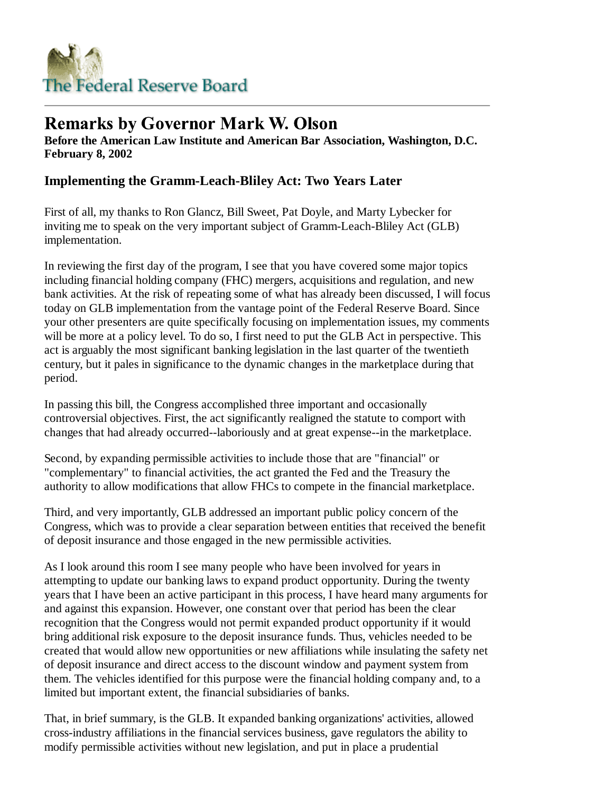

# **Remarks by Governor Mark W. Olson**

**Before the American Law Institute and American Bar Association, Washington, D.C. February 8, 2002**

## **Implementing the Gramm-Leach-Bliley Act: Two Years Later**

First of all, my thanks to Ron Glancz, Bill Sweet, Pat Doyle, and Marty Lybecker for inviting me to speak on the very important subject of Gramm-Leach-Bliley Act (GLB) implementation.

In reviewing the first day of the program, I see that you have covered some major topics including financial holding company (FHC) mergers, acquisitions and regulation, and new bank activities. At the risk of repeating some of what has already been discussed, I will focus today on GLB implementation from the vantage point of the Federal Reserve Board. Since your other presenters are quite specifically focusing on implementation issues, my comments will be more at a policy level. To do so, I first need to put the GLB Act in perspective. This act is arguably the most significant banking legislation in the last quarter of the twentieth century, but it pales in significance to the dynamic changes in the marketplace during that period.

In passing this bill, the Congress accomplished three important and occasionally controversial objectives. First, the act significantly realigned the statute to comport with changes that had already occurred--laboriously and at great expense--in the marketplace.

Second, by expanding permissible activities to include those that are "financial" or "complementary" to financial activities, the act granted the Fed and the Treasury the authority to allow modifications that allow FHCs to compete in the financial marketplace.

Third, and very importantly, GLB addressed an important public policy concern of the Congress, which was to provide a clear separation between entities that received the benefit of deposit insurance and those engaged in the new permissible activities.

As I look around this room I see many people who have been involved for years in attempting to update our banking laws to expand product opportunity. During the twenty years that I have been an active participant in this process, I have heard many arguments for and against this expansion. However, one constant over that period has been the clear recognition that the Congress would not permit expanded product opportunity if it would bring additional risk exposure to the deposit insurance funds. Thus, vehicles needed to be created that would allow new opportunities or new affiliations while insulating the safety net of deposit insurance and direct access to the discount window and payment system from them. The vehicles identified for this purpose were the financial holding company and, to a limited but important extent, the financial subsidiaries of banks.

That, in brief summary, is the GLB. It expanded banking organizations' activities, allowed cross-industry affiliations in the financial services business, gave regulators the ability to modify permissible activities without new legislation, and put in place a prudential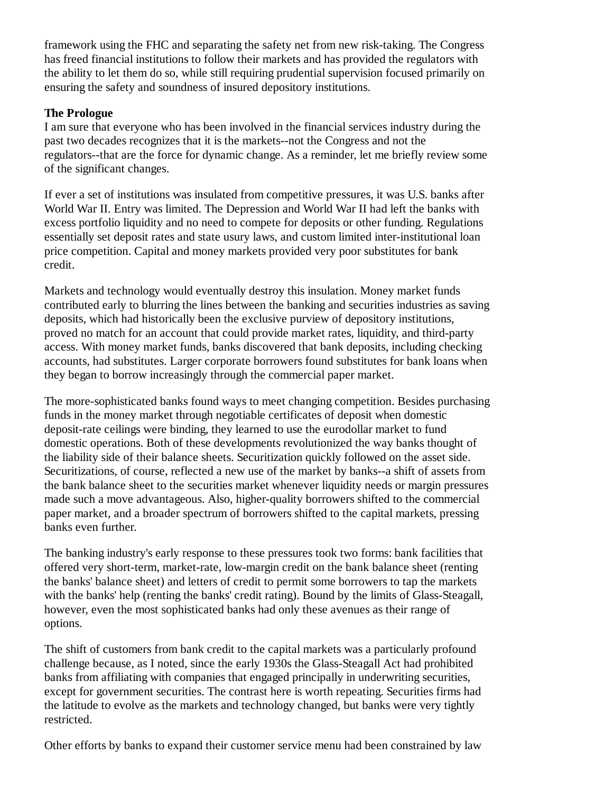framework using the FHC and separating the safety net from new risk-taking. The Congress has freed financial institutions to follow their markets and has provided the regulators with the ability to let them do so, while still requiring prudential supervision focused primarily on ensuring the safety and soundness of insured depository institutions.

#### **The Prologue**

I am sure that everyone who has been involved in the financial services industry during the past two decades recognizes that it is the markets--not the Congress and not the regulators--that are the force for dynamic change. As a reminder, let me briefly review some of the significant changes.

If ever a set of institutions was insulated from competitive pressures, it was U.S. banks after World War II. Entry was limited. The Depression and World War II had left the banks with excess portfolio liquidity and no need to compete for deposits or other funding. Regulations essentially set deposit rates and state usury laws, and custom limited inter-institutional loan price competition. Capital and money markets provided very poor substitutes for bank credit.

Markets and technology would eventually destroy this insulation. Money market funds contributed early to blurring the lines between the banking and securities industries as saving deposits, which had historically been the exclusive purview of depository institutions, proved no match for an account that could provide market rates, liquidity, and third-party access. With money market funds, banks discovered that bank deposits, including checking accounts, had substitutes. Larger corporate borrowers found substitutes for bank loans when they began to borrow increasingly through the commercial paper market.

The more-sophisticated banks found ways to meet changing competition. Besides purchasing funds in the money market through negotiable certificates of deposit when domestic deposit-rate ceilings were binding, they learned to use the eurodollar market to fund domestic operations. Both of these developments revolutionized the way banks thought of the liability side of their balance sheets. Securitization quickly followed on the asset side. Securitizations, of course, reflected a new use of the market by banks--a shift of assets from the bank balance sheet to the securities market whenever liquidity needs or margin pressures made such a move advantageous. Also, higher-quality borrowers shifted to the commercial paper market, and a broader spectrum of borrowers shifted to the capital markets, pressing banks even further.

The banking industry's early response to these pressures took two forms: bank facilities that offered very short-term, market-rate, low-margin credit on the bank balance sheet (renting the banks' balance sheet) and letters of credit to permit some borrowers to tap the markets with the banks' help (renting the banks' credit rating). Bound by the limits of Glass-Steagall, however, even the most sophisticated banks had only these avenues as their range of options.

The shift of customers from bank credit to the capital markets was a particularly profound challenge because, as I noted, since the early 1930s the Glass-Steagall Act had prohibited banks from affiliating with companies that engaged principally in underwriting securities, except for government securities. The contrast here is worth repeating. Securities firms had the latitude to evolve as the markets and technology changed, but banks were very tightly restricted.

Other efforts by banks to expand their customer service menu had been constrained by law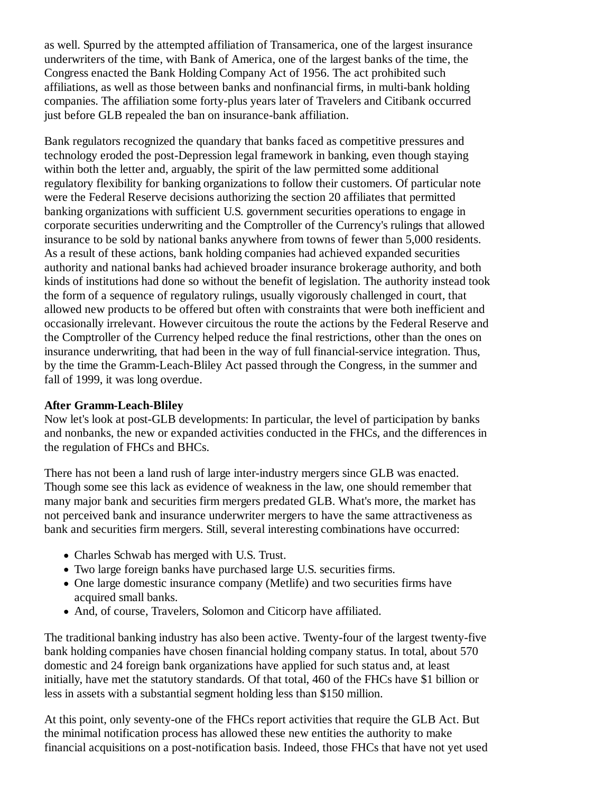as well. Spurred by the attempted affiliation of Transamerica, one of the largest insurance underwriters of the time, with Bank of America, one of the largest banks of the time, the Congress enacted the Bank Holding Company Act of 1956. The act prohibited such affiliations, as well as those between banks and nonfinancial firms, in multi-bank holding companies. The affiliation some forty-plus years later of Travelers and Citibank occurred just before GLB repealed the ban on insurance-bank affiliation.

Bank regulators recognized the quandary that banks faced as competitive pressures and technology eroded the post-Depression legal framework in banking, even though staying within both the letter and, arguably, the spirit of the law permitted some additional regulatory flexibility for banking organizations to follow their customers. Of particular note were the Federal Reserve decisions authorizing the section 20 affiliates that permitted banking organizations with sufficient U.S. government securities operations to engage in corporate securities underwriting and the Comptroller of the Currency's rulings that allowed insurance to be sold by national banks anywhere from towns of fewer than 5,000 residents. As a result of these actions, bank holding companies had achieved expanded securities authority and national banks had achieved broader insurance brokerage authority, and both kinds of institutions had done so without the benefit of legislation. The authority instead took the form of a sequence of regulatory rulings, usually vigorously challenged in court, that allowed new products to be offered but often with constraints that were both inefficient and occasionally irrelevant. However circuitous the route the actions by the Federal Reserve and the Comptroller of the Currency helped reduce the final restrictions, other than the ones on insurance underwriting, that had been in the way of full financial-service integration. Thus, by the time the Gramm-Leach-Bliley Act passed through the Congress, in the summer and fall of 1999, it was long overdue.

### **After Gramm-Leach-Bliley**

Now let's look at post-GLB developments: In particular, the level of participation by banks and nonbanks, the new or expanded activities conducted in the FHCs, and the differences in the regulation of FHCs and BHCs.

There has not been a land rush of large inter-industry mergers since GLB was enacted. Though some see this lack as evidence of weakness in the law, one should remember that many major bank and securities firm mergers predated GLB. What's more, the market has not perceived bank and insurance underwriter mergers to have the same attractiveness as bank and securities firm mergers. Still, several interesting combinations have occurred:

- Charles Schwab has merged with U.S. Trust.
- Two large foreign banks have purchased large U.S. securities firms.
- One large domestic insurance company (Metlife) and two securities firms have acquired small banks.
- And, of course, Travelers, Solomon and Citicorp have affiliated.

The traditional banking industry has also been active. Twenty-four of the largest twenty-five bank holding companies have chosen financial holding company status. In total, about 570 domestic and 24 foreign bank organizations have applied for such status and, at least initially, have met the statutory standards. Of that total, 460 of the FHCs have \$1 billion or less in assets with a substantial segment holding less than \$150 million.

At this point, only seventy-one of the FHCs report activities that require the GLB Act. But the minimal notification process has allowed these new entities the authority to make financial acquisitions on a post-notification basis. Indeed, those FHCs that have not yet used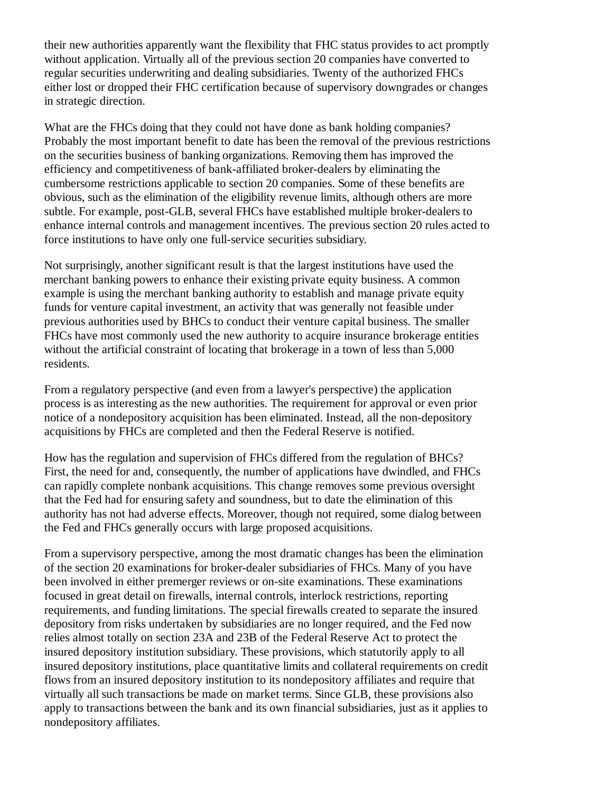their new authorities apparently want the flexibility that FHC status provides to act promptly without application. Virtually all of the previous section 20 companies have converted to regular securities underwriting and dealing subsidiaries. Twenty of the authorized FHCs either lost or dropped their FHC certification because of supervisory downgrades or changes in strategic direction.

What are the FHCs doing that they could not have done as bank holding companies? Probably the most important benefit to date has been the removal of the previous restrictions on the securities business of banking organizations. Removing them has improved the efficiency and competitiveness of bank-affiliated broker-dealers by eliminating the cumbersome restrictions applicable to section 20 companies. Some of these benefits are obvious, such as the elimination of the eligibility revenue limits, although others are more subtle. For example, post-GLB, several FHCs have established multiple broker-dealers to enhance internal controls and management incentives. The previous section 20 rules acted to force institutions to have only one full-service securities subsidiary.

Not surprisingly, another significant result is that the largest institutions have used the merchant banking powers to enhance their existing private equity business. A common example is using the merchant banking authority to establish and manage private equity funds for venture capital investment, an activity that was generally not feasible under previous authorities used by BHCs to conduct their venture capital business. The smaller FHCs have most commonly used the new authority to acquire insurance brokerage entities without the artificial constraint of locating that brokerage in a town of less than 5,000 residents.

From a regulatory perspective (and even from a lawyer's perspective) the application process is as interesting as the new authorities. The requirement for approval or even prior notice of a nondepository acquisition has been eliminated. Instead, all the non-depository acquisitions by FHCs are completed and then the Federal Reserve is notified.

How has the regulation and supervision of FHCs differed from the regulation of BHCs? First, the need for and, consequently, the number of applications have dwindled, and FHCs can rapidly complete nonbank acquisitions. This change removes some previous oversight that the Fed had for ensuring safety and soundness, but to date the elimination of this authority has not had adverse effects. Moreover, though not required, some dialog between the Fed and FHCs generally occurs with large proposed acquisitions.

From a supervisory perspective, among the most dramatic changes has been the elimination of the section 20 examinations for broker-dealer subsidiaries of FHCs. Many of you have been involved in either premerger reviews or on-site examinations. These examinations focused in great detail on firewalls, internal controls, interlock restrictions, reporting requirements, and funding limitations. The special firewalls created to separate the insured depository from risks undertaken by subsidiaries are no longer required, and the Fed now relies almost totally on section 23A and 23B of the Federal Reserve Act to protect the insured depository institution subsidiary. These provisions, which statutorily apply to all insured depository institutions, place quantitative limits and collateral requirements on credit flows from an insured depository institution to its nondepository affiliates and require that virtually all such transactions be made on market terms. Since GLB, these provisions also apply to transactions between the bank and its own financial subsidiaries, just as it applies to nondepository affiliates.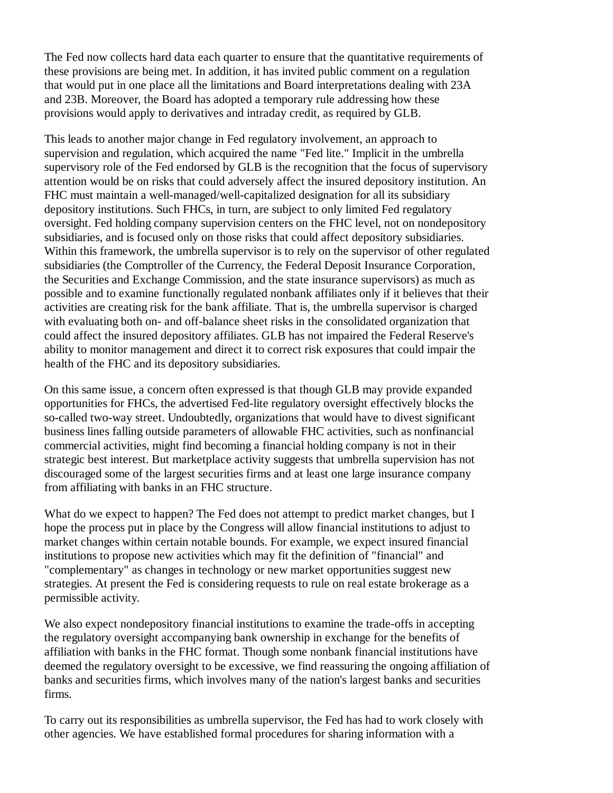The Fed now collects hard data each quarter to ensure that the quantitative requirements of these provisions are being met. In addition, it has invited public comment on a regulation that would put in one place all the limitations and Board interpretations dealing with 23A and 23B. Moreover, the Board has adopted a temporary rule addressing how these provisions would apply to derivatives and intraday credit, as required by GLB.

This leads to another major change in Fed regulatory involvement, an approach to supervision and regulation, which acquired the name "Fed lite." Implicit in the umbrella supervisory role of the Fed endorsed by GLB is the recognition that the focus of supervisory attention would be on risks that could adversely affect the insured depository institution. An FHC must maintain a well-managed/well-capitalized designation for all its subsidiary depository institutions. Such FHCs, in turn, are subject to only limited Fed regulatory oversight. Fed holding company supervision centers on the FHC level, not on nondepository subsidiaries, and is focused only on those risks that could affect depository subsidiaries. Within this framework, the umbrella supervisor is to rely on the supervisor of other regulated subsidiaries (the Comptroller of the Currency, the Federal Deposit Insurance Corporation, the Securities and Exchange Commission, and the state insurance supervisors) as much as possible and to examine functionally regulated nonbank affiliates only if it believes that their activities are creating risk for the bank affiliate. That is, the umbrella supervisor is charged with evaluating both on- and off-balance sheet risks in the consolidated organization that could affect the insured depository affiliates. GLB has not impaired the Federal Reserve's ability to monitor management and direct it to correct risk exposures that could impair the health of the FHC and its depository subsidiaries.

On this same issue, a concern often expressed is that though GLB may provide expanded opportunities for FHCs, the advertised Fed-lite regulatory oversight effectively blocks the so-called two-way street. Undoubtedly, organizations that would have to divest significant business lines falling outside parameters of allowable FHC activities, such as nonfinancial commercial activities, might find becoming a financial holding company is not in their strategic best interest. But marketplace activity suggests that umbrella supervision has not discouraged some of the largest securities firms and at least one large insurance company from affiliating with banks in an FHC structure.

What do we expect to happen? The Fed does not attempt to predict market changes, but I hope the process put in place by the Congress will allow financial institutions to adjust to market changes within certain notable bounds. For example, we expect insured financial institutions to propose new activities which may fit the definition of "financial" and "complementary" as changes in technology or new market opportunities suggest new strategies. At present the Fed is considering requests to rule on real estate brokerage as a permissible activity.

We also expect nondepository financial institutions to examine the trade-offs in accepting the regulatory oversight accompanying bank ownership in exchange for the benefits of affiliation with banks in the FHC format. Though some nonbank financial institutions have deemed the regulatory oversight to be excessive, we find reassuring the ongoing affiliation of banks and securities firms, which involves many of the nation's largest banks and securities firms.

To carry out its responsibilities as umbrella supervisor, the Fed has had to work closely with other agencies. We have established formal procedures for sharing information with a